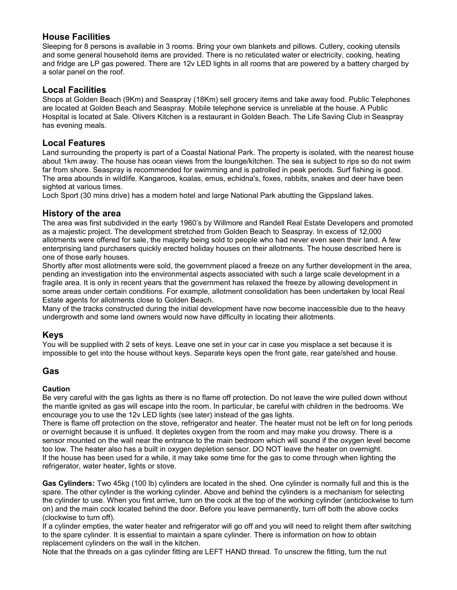# **House Facilities**

Sleeping for 8 persons is available in 3 rooms. Bring your own blankets and pillows. Cutlery, cooking utensils and some general household items are provided. There is no reticulated water or electricity, cooking, heating and fridge are LP gas powered. There are 12v LED lights in all rooms that are powered by a battery charged by a solar panel on the roof.

## **Local Facilities**

Shops at Golden Beach (9Km) and Seaspray (18Km) sell grocery items and take away food. Public Telephones are located at Golden Beach and Seaspray. Mobile telephone service is unreliable at the house. A Public Hospital is located at Sale. Olivers Kitchen is a restaurant in Golden Beach. The Life Saving Club in Seaspray has evening meals.

# **Local Features**

Land surrounding the property is part of a Coastal National Park. The property is isolated, with the nearest house about 1km away. The house has ocean views from the lounge/kitchen. The sea is subject to rips so do not swim far from shore. Seaspray is recommended for swimming and is patrolled in peak periods. Surf fishing is good. The area abounds in wildlife. Kangaroos, koalas, emus, echidna's, foxes, rabbits, snakes and deer have been sighted at various times.

Loch Sport (30 mins drive) has a modern hotel and large National Park abutting the Gippsland lakes.

# **History of the area**

The area was first subdivided in the early 1960's by Willmore and Randell Real Estate Developers and promoted as a majestic project. The development stretched from Golden Beach to Seaspray. In excess of 12,000 allotments were offered for sale, the majority being sold to people who had never even seen their land. A few enterprising land purchasers quickly erected holiday houses on their allotments. The house described here is one of those early houses.

Shortly after most allotments were sold, the government placed a freeze on any further development in the area, pending an investigation into the environmental aspects associated with such a large scale development in a fragile area. It is only in recent years that the government has relaxed the freeze by allowing development in some areas under certain conditions. For example, allotment consolidation has been undertaken by local Real Estate agents for allotments close to Golden Beach.

Many of the tracks constructed during the initial development have now become inaccessible due to the heavy undergrowth and some land owners would now have difficulty in locating their allotments.

## **Keys**

You will be supplied with 2 sets of keys. Leave one set in your car in case you misplace a set because it is impossible to get into the house without keys. Separate keys open the front gate, rear gate/shed and house.

## **Gas**

## **Caution**

Be very careful with the gas lights as there is no flame off protection. Do not leave the wire pulled down without the mantle ignited as gas will escape into the room. In particular, be careful with children in the bedrooms. We encourage you to use the 12v LED lights (see later) instead of the gas lights.

There is flame off protection on the stove, refrigerator and heater. The heater must not be left on for long periods or overnight because it is unflued. It depletes oxygen from the room and may make you drowsy. There is a sensor mounted on the wall near the entrance to the main bedroom which will sound if the oxygen level become too low. The heater also has a built in oxygen depletion sensor. DO NOT leave the heater on overnight. If the house has been used for a while, it may take some time for the gas to come through when lighting the refrigerator, water heater, lights or stove.

**Gas Cylinders:** Two 45kg (100 lb) cylinders are located in the shed. One cylinder is normally full and this is the spare. The other cylinder is the working cylinder. Above and behind the cylinders is a mechanism for selecting the cylinder to use. When you first arrive, turn on the cock at the top of the working cylinder (anticlockwise to turn on) and the main cock located behind the door. Before you leave permanently, turn off both the above cocks (clockwise to turn off).

If a cylinder empties, the water heater and refrigerator will go off and you will need to relight them after switching to the spare cylinder. It is essential to maintain a spare cylinder. There is information on how to obtain replacement cylinders on the wall in the kitchen.

Note that the threads on a gas cylinder fitting are LEFT HAND thread. To unscrew the fitting, turn the nut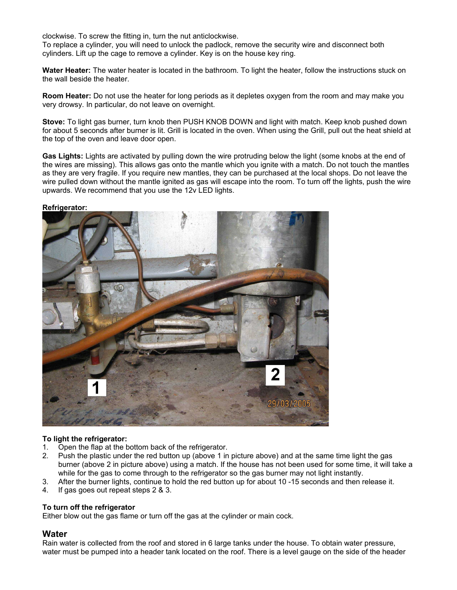clockwise. To screw the fitting in, turn the nut anticlockwise.

To replace a cylinder, you will need to unlock the padlock, remove the security wire and disconnect both cylinders. Lift up the cage to remove a cylinder. Key is on the house key ring.

**Water Heater:** The water heater is located in the bathroom. To light the heater, follow the instructions stuck on the wall beside the heater.

**Room Heater:** Do not use the heater for long periods as it depletes oxygen from the room and may make you very drowsy. In particular, do not leave on overnight.

**Stove:** To light gas burner, turn knob then PUSH KNOB DOWN and light with match. Keep knob pushed down for about 5 seconds after burner is lit. Grill is located in the oven. When using the Grill, pull out the heat shield at the top of the oven and leave door open.

**Gas Lights:** Lights are activated by pulling down the wire protruding below the light (some knobs at the end of the wires are missing). This allows gas onto the mantle which you ignite with a match. Do not touch the mantles as they are very fragile. If you require new mantles, they can be purchased at the local shops. Do not leave the wire pulled down without the mantle ignited as gas will escape into the room. To turn off the lights, push the wire upwards. We recommend that you use the 12v LED lights.

### **Refrigerator:**



## **To light the refrigerator:**

- 1. Open the flap at the bottom back of the refrigerator.
- 2. Push the plastic under the red button up (above 1 in picture above) and at the same time light the gas burner (above 2 in picture above) using a match. If the house has not been used for some time, it will take a while for the gas to come through to the refrigerator so the gas burner may not light instantly.
- 3. After the burner lights, continue to hold the red button up for about 10 -15 seconds and then release it.
- 4. If gas goes out repeat steps 2 & 3.

### **To turn off the refrigerator**

Either blow out the gas flame or turn off the gas at the cylinder or main cock.

## **Water**

Rain water is collected from the roof and stored in 6 large tanks under the house. To obtain water pressure, water must be pumped into a header tank located on the roof. There is a level gauge on the side of the header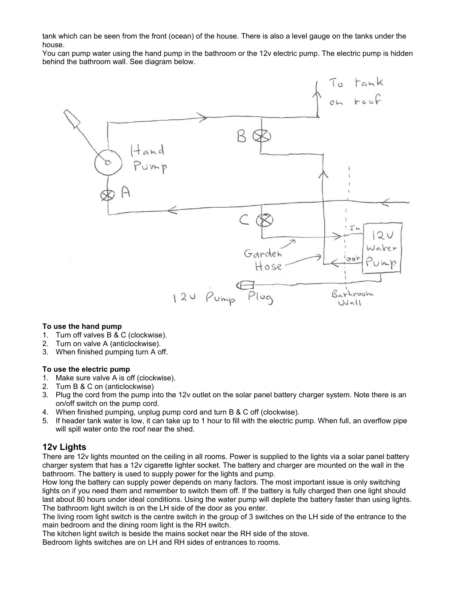tank which can be seen from the front (ocean) of the house. There is also a level gauge on the tanks under the house.

You can pump water using the hand pump in the bathroom or the 12v electric pump. The electric pump is hidden behind the bathroom wall. See diagram below.



### **To use the hand pump**

- 1. Turn off valves B & C (clockwise).
- 2. Turn on valve A (anticlockwise).
- 3. When finished pumping turn A off.

#### **To use the electric pump**

- 1. Make sure valve A is off (clockwise).
- 2. Turn B & C on (anticlockwise)
- 3. Plug the cord from the pump into the 12v outlet on the solar panel battery charger system. Note there is an on/off switch on the pump cord.
- 4. When finished pumping, unplug pump cord and turn B & C off (clockwise).
- 5. If header tank water is low, it can take up to 1 hour to fill with the electric pump. When full, an overflow pipe will spill water onto the roof near the shed.

## **12v Lights**

There are 12v lights mounted on the ceiling in all rooms. Power is supplied to the lights via a solar panel battery charger system that has a 12v cigarette lighter socket. The battery and charger are mounted on the wall in the bathroom. The battery is used to supply power for the lights and pump.

How long the battery can supply power depends on many factors. The most important issue is only switching lights on if you need them and remember to switch them off. If the battery is fully charged then one light should last about 80 hours under ideal conditions. Using the water pump will deplete the battery faster than using lights. The bathroom light switch is on the LH side of the door as you enter.

The living room light switch is the centre switch in the group of 3 switches on the LH side of the entrance to the main bedroom and the dining room light is the RH switch.

The kitchen light switch is beside the mains socket near the RH side of the stove.

Bedroom lights switches are on LH and RH sides of entrances to rooms.